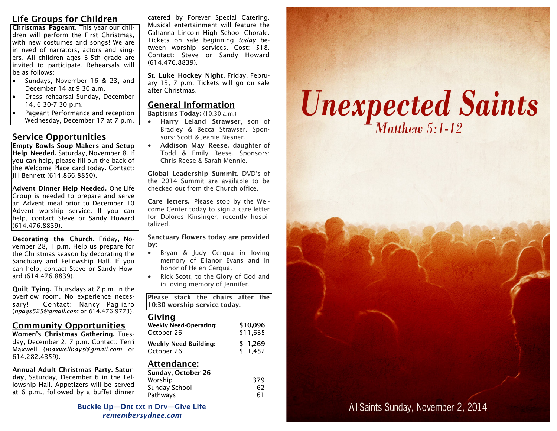# **Life Groups for Children**

**Christmas Pageant**. This year our children will perform the First Christmas, with new costumes and songs! We are in need of narrators, actors and singers. All children ages 3-5th grade are invited to participate. Rehearsals will be as follows:

- Sundays, November 16 & 23, and December 14 at 9:30 a.m.
- Dress rehearsal Sunday, December 14, 6:30-7:30 p.m.
- Pageant Performance and reception Wednesday, December 17 at 7 p.m.

# **Service Opportunities**

**Empty Bowls Soup Makers and Setup Help Needed.** Saturday, November 8. If you can help, please fill out the back of the Welcome Place card today. Contact: Jill Bennett (614.866.8850).

**Advent Dinner Help Needed.** One Life Group is needed to prepare and serve an Advent meal prior to December 10 Advent worship service. If you can help, contact Steve or Sandy Howard (614.476.8839).

**Decorating the Church.** Friday, November 28, 1 p.m. Help us prepare for the Christmas season by decorating the Sanctuary and Fellowship Hall. If you can help, contact Steve or Sandy Howard (614.476.8839).

**Quilt Tying.** Thursdays at 7 p.m. in the overflow room. No experience necessary! Contact: Nancy Pagliaro (*npags525@gmail.com* or *6*14.476.9773).

## **Community Opportunities**

**Women's Christmas Gathering.** Tuesday, December 2, 7 p.m. Contact: Terri Maxwell (*maxwellbays@gmail.com* or 614.282.4359).

**Annual Adult Christmas Party. Saturday**, Saturday, December 6 in the Fellowship Hall. Appetizers will be served at 6 p.m., followed by a buffet dinner

catered by Forever Special Catering. Musical entertainment will feature the Gahanna Lincoln High School Chorale. Tickets on sale beginning *today* between worship services. Cost: \$18. Contact: Steve or Sandy Howard (614.476.8839).

**St. Luke Hockey Night**. Friday, February 13, 7 p.m. Tickets will go on sale after Christmas.

## **General Information**

**Baptisms Today:** (10:30 a.m.)

- **Harry Leland Strawser**, son of Bradley & Becca Strawser. Sponsors: Scott & Jeanie Biesner.
- **Addison May Reese,** daughter of Todd & Emily Reese. Sponsors: Chris Reese & Sarah Mennie.

**Global Leadership Summit.** DVD's of the 2014 Summit are available to be checked out from the Church office.

**Care letters.** Please stop by the Welcome Center today to sign a care letter for Dolores Kinsinger, recently hospitalized.

#### **Sanctuary flowers today are provided by:**

- Bryan & Judy Cerqua in loving memory of Elianor Evans and in honor of Helen Cerqua.
- Rick Scott, to the Glory of God and in loving memory of Jennifer.

**Please stack the chairs after the 10:30 worship service today.**

## **Giving**

| <b>Weekly Need-Operating:</b> | \$10.096 |
|-------------------------------|----------|
| October 26                    | \$11,635 |
| <b>Weekly Need-Building:</b>  | \$1,269  |
| October 26                    | \$1.452  |

# **Attendance:**

| Sunday, October 26 |     |
|--------------------|-----|
| Worship            | 379 |
| Sunday School      | 62  |
| Pathways           | 61  |

**Buckle Up—Dnt txt n Drv—Give Life** *remembersydnee.com*

# **Unexpected Saints**

# All-Saints Sunday, November 2, 2014